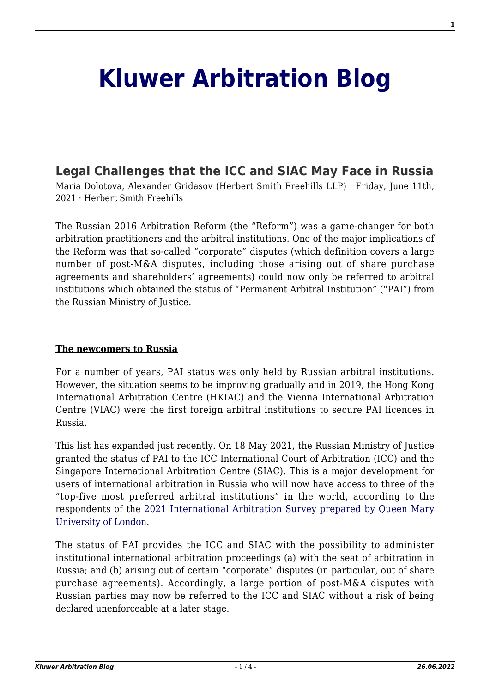# **[Kluwer Arbitration Blog](http://arbitrationblog.kluwerarbitration.com/)**

# **[Legal Challenges that the ICC and SIAC May Face in Russia](http://arbitrationblog.kluwerarbitration.com/2021/06/11/legal-challenges-that-the-icc-and-siac-may-face-in-russia/)**

Maria Dolotova, Alexander Gridasov (Herbert Smith Freehills LLP) · Friday, June 11th, 2021 · Herbert Smith Freehills

The Russian 2016 Arbitration Reform (the "Reform") was a game-changer for both arbitration practitioners and the arbitral institutions. One of the major implications of the Reform was that so-called "corporate" disputes (which definition covers a large number of post-M&A disputes, including those arising out of share purchase agreements and shareholders' agreements) could now only be referred to arbitral institutions which obtained the status of "Permanent Arbitral Institution" ("PAI") from the Russian Ministry of Justice.

### **The newcomers to Russia**

For a number of years, PAI status was only held by Russian arbitral institutions. However, the situation seems to be improving gradually and in 2019, the Hong Kong International Arbitration Centre (HKIAC) and the Vienna International Arbitration Centre (VIAC) were the first foreign arbitral institutions to secure PAI licences in Russia.

This list has expanded just recently. On 18 May 2021, the Russian Ministry of Justice granted the status of PAI to the ICC International Court of Arbitration (ICC) and the Singapore International Arbitration Centre (SIAC). This is a major development for users of international arbitration in Russia who will now have access to three of the "top-five most preferred arbitral institutions" in the world, according to the respondents of the [2021 International Arbitration Survey prepared by Queen Mary](https://www.whitecase.com/publications/insight/2021-international-arbitration-survey/appendices) [University of London](https://www.whitecase.com/publications/insight/2021-international-arbitration-survey/appendices).

The status of PAI provides the ICC and SIAC with the possibility to administer institutional international arbitration proceedings (a) with the seat of arbitration in Russia; and (b) arising out of certain "corporate" disputes (in particular, out of share purchase agreements). Accordingly, a large portion of post-M&A disputes with Russian parties may now be referred to the ICC and SIAC without a risk of being declared unenforceable at a later stage.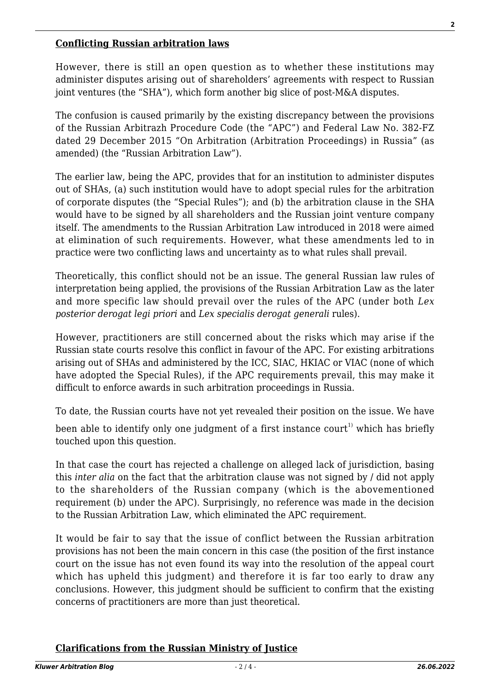#### **Conflicting Russian arbitration laws**

However, there is still an open question as to whether these institutions may administer disputes arising out of shareholders' agreements with respect to Russian joint ventures (the "SHA"), which form another big slice of post-M&A disputes.

The confusion is caused primarily by the existing discrepancy between the provisions of the Russian Arbitrazh Procedure Code (the "APC") and Federal Law No. 382-FZ dated 29 December 2015 "On Arbitration (Arbitration Proceedings) in Russia" (as amended) (the "Russian Arbitration Law").

The earlier law, being the APC, provides that for an institution to administer disputes out of SHAs, (a) such institution would have to adopt special rules for the arbitration of corporate disputes (the "Special Rules"); and (b) the arbitration clause in the SHA would have to be signed by all shareholders and the Russian joint venture company itself. The amendments to the Russian Arbitration Law introduced in 2018 were aimed at elimination of such requirements. However, what these amendments led to in practice were two conflicting laws and uncertainty as to what rules shall prevail.

Theoretically, this conflict should not be an issue. The general Russian law rules of interpretation being applied, the provisions of the Russian Arbitration Law as the later and more specific law should prevail over the rules of the APC (under both *Lex posterior derogat legi priori* and *Lex specialis derogat generali* rules).

However, practitioners are still concerned about the risks which may arise if the Russian state courts resolve this conflict in favour of the APC. For existing arbitrations arising out of SHAs and administered by the ICC, SIAC, HKIAC or VIAC (none of which have adopted the Special Rules), if the APC requirements prevail, this may make it difficult to enforce awards in such arbitration proceedings in Russia.

To date, the Russian courts have not yet revealed their position on the issue. We have

been able to identify only one judgment of a first instance court<sup>1</sup> which has briefly touched upon this question.

In that case the court has rejected a challenge on alleged lack of jurisdiction, basing this *inter alia* on the fact that the arbitration clause was not signed by / did not apply to the shareholders of the Russian company (which is the abovementioned requirement (b) under the APC). Surprisingly, no reference was made in the decision to the Russian Arbitration Law, which eliminated the APC requirement.

It would be fair to say that the issue of conflict between the Russian arbitration provisions has not been the main concern in this case (the position of the first instance court on the issue has not even found its way into the resolution of the appeal court which has upheld this judgment) and therefore it is far too early to draw any conclusions. However, this judgment should be sufficient to confirm that the existing concerns of practitioners are more than just theoretical.

# **Clarifications from the Russian Ministry of Justice**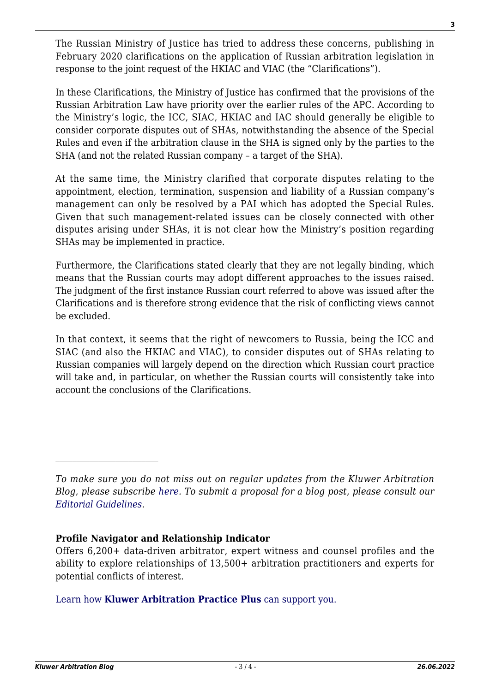The Russian Ministry of Justice has tried to address these concerns, publishing in February 2020 clarifications on the application of Russian arbitration legislation in response to the joint request of the HKIAC and VIAC (the "Clarifications").

In these Clarifications, the Ministry of Justice has confirmed that the provisions of the Russian Arbitration Law have priority over the earlier rules of the APC. According to the Ministry's logic, the ICC, SIAC, HKIAC and IAC should generally be eligible to consider corporate disputes out of SHAs, notwithstanding the absence of the Special Rules and even if the arbitration clause in the SHA is signed only by the parties to the SHA (and not the related Russian company – a target of the SHA).

At the same time, the Ministry clarified that corporate disputes relating to the appointment, election, termination, suspension and liability of a Russian company's management can only be resolved by a PAI which has adopted the Special Rules. Given that such management-related issues can be closely connected with other disputes arising under SHAs, it is not clear how the Ministry's position regarding SHAs may be implemented in practice.

Furthermore, the Clarifications stated clearly that they are not legally binding, which means that the Russian courts may adopt different approaches to the issues raised. The judgment of the first instance Russian court referred to above was issued after the Clarifications and is therefore strong evidence that the risk of conflicting views cannot be excluded.

In that context, it seems that the right of newcomers to Russia, being the ICC and SIAC (and also the HKIAC and VIAC), to consider disputes out of SHAs relating to Russian companies will largely depend on the direction which Russian court practice will take and, in particular, on whether the Russian courts will consistently take into account the conclusions of the Clarifications.

# **Profile Navigator and Relationship Indicator**

Offers 6,200+ data-driven arbitrator, expert witness and counsel profiles and the ability to explore relationships of 13,500+ arbitration practitioners and experts for potential conflicts of interest.

# [Learn how](https://www.wolterskluwer.com/en/solutions/kluwerarbitration/practiceplus?utm_source=arbitrationblog&utm_medium=articleCTA&utm_campaign=article-banner) **[Kluwer Arbitration Practice Plus](https://www.wolterskluwer.com/en/solutions/kluwerarbitration/practiceplus?utm_source=arbitrationblog&utm_medium=articleCTA&utm_campaign=article-banner)** [can support you.](https://www.wolterskluwer.com/en/solutions/kluwerarbitration/practiceplus?utm_source=arbitrationblog&utm_medium=articleCTA&utm_campaign=article-banner)

*To make sure you do not miss out on regular updates from the Kluwer Arbitration Blog, please subscribe [here](http://arbitrationblog.kluwerarbitration.com/newsletter/). To submit a proposal for a blog post, please consult our [Editorial Guidelines.](http://arbitrationblog.kluwerarbitration.com/editorial-guidelines/)*